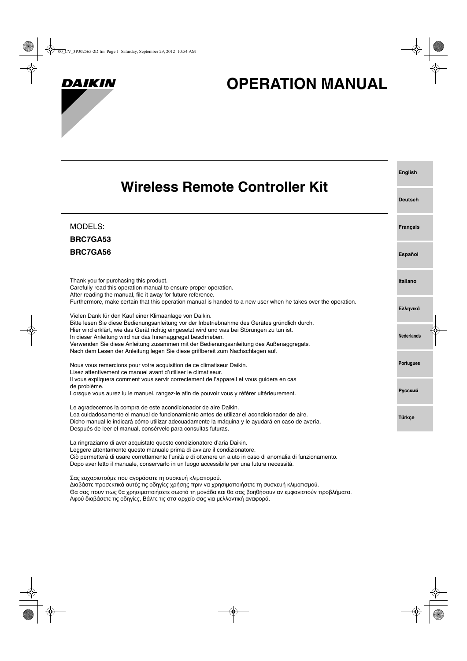

# **OPERATION MANUAL**

| Wireless Remote Controller Kit                                                                                                                                                                                                                                                                                                                                                                                                         | <b>English</b>    |
|----------------------------------------------------------------------------------------------------------------------------------------------------------------------------------------------------------------------------------------------------------------------------------------------------------------------------------------------------------------------------------------------------------------------------------------|-------------------|
|                                                                                                                                                                                                                                                                                                                                                                                                                                        | <b>Deutsch</b>    |
| <b>MODELS:</b><br><b>BRC7GA53</b>                                                                                                                                                                                                                                                                                                                                                                                                      | <b>Français</b>   |
| BRC7GA56                                                                                                                                                                                                                                                                                                                                                                                                                               | Español           |
| Thank you for purchasing this product.<br>Carefully read this operation manual to ensure proper operation.<br>After reading the manual, file it away for future reference.                                                                                                                                                                                                                                                             | Italiano          |
| Furthermore, make certain that this operation manual is handed to a new user when he takes over the operation.<br>Vielen Dank für den Kauf einer Klimaanlage von Daikin.                                                                                                                                                                                                                                                               | Ελληνικά          |
| Bitte lesen Sie diese Bedienungsanleitung vor der Inbetriebnahme des Gerätes gründlich durch.<br>Hier wird erklärt, wie das Gerät richtig eingesetzt wird und was bei Störungen zu tun ist.<br>In dieser Anleitung wird nur das Innenaggregat beschrieben.<br>Verwenden Sie diese Anleitung zusammen mit der Bedienungsanleitung des Außenaggregats.<br>Nach dem Lesen der Anleitung legen Sie diese griffbereit zum Nachschlagen auf. | <b>Nederlands</b> |
| Nous vous remercions pour votre acquisition de ce climatiseur Daikin.<br>Lisez attentivement ce manuel avant d'utiliser le climatiseur.                                                                                                                                                                                                                                                                                                | <b>Portugues</b>  |
| Il vous expliquera comment vous servir correctement de l'appareil et vous guidera en cas<br>de problème.<br>Lorsque vous aurez lu le manuel, rangez-le afin de pouvoir vous y référer ultérieurement.                                                                                                                                                                                                                                  | <b>Русский</b>    |
| Le agradecemos la compra de este acondicionador de aire Daikin.<br>Lea cuidadosamente el manual de funcionamiento antes de utilizar el acondicionador de aire.<br>Dicho manual le indicará cómo utilizar adecuadamente la máquina y le ayudará en caso de avería.<br>Después de leer el manual, consérvelo para consultas futuras.                                                                                                     | <b>Türkçe</b>     |
| La ringraziamo di aver acquistato questo condizionatore d'aria Daikin.<br>Leggere attentamente questo manuale prima di avviare il condizionatore.<br>Ciò permetterà di usare correttamente l'unità e di ottenere un aiuto in caso di anomalia di funzionamento.<br>Dopo aver letto il manuale, conservarlo in un luogo accessibile per una futura necessità.                                                                           |                   |

Σας ευχαριστούμε που αγοράσατε τη συσκευή κλιματισμού.

Διαβάστε προσεκτικά αυτές τις οδηγίες χρήσης πριν να χρησιμοποιήσετε τη συσκευή κλιματισμού.

Θα σας πουν πως θα χρησιμοποιήσετε σωστά τη μονάδα και θα σας βοηθήσουν αν εμφανιστούν προβλήματα. Αφού διαβάσετε τις οδηγίες, Βάλτε τις στσ αρχείο σας για μελλοντική αναφορά.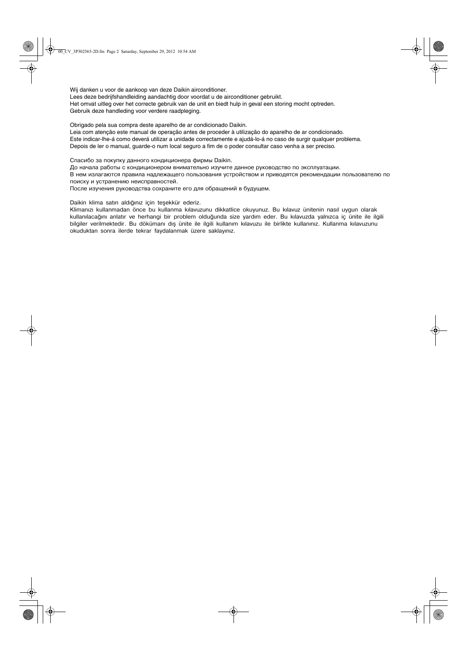Wij danken u voor de aankoop van deze Daikin airconditioner.

Lees deze bedrijfshandleiding aandachtig door voordat u de airconditioner gebruikt.

Het omvat uitleg over het correcte gebruik van de unit en biedt hulp in geval een storing mocht optreden. Gebruik deze handleding voor verdere raadpleging.

Obrigado pela sua compra deste aparelho de ar condicionado Daikin.

Leia com atenção este manual de operação antes de proceder à utilização do aparelho de ar condicionado. Este indicar-lhe-á como deverá utilizar a unidade correctamente e ajudá-lo-á no caso de surgir qualquer problema. Depois de ler o manual, guarde-o num local seguro a fim de o poder consultar caso venha a ser preciso.

Спасибо за покупку данного кондиционера фирмы Daikin.

До начала работы с кондиционером внимательно изучите данное руководство по эксплуатации.

В нем излагаются правила надлежащего пользования устройством и приводятся рекомендации пользователю по поиску и устранению неисправностей.

После изучения руководства сохраните его для обращений в будущем.

Daikin klima satın aldığınız için teşekkür ederiz.

Klimanızı kullanmadan önce bu kullanma kılavuzunu dikkatlice okuyunuz. Bu kılavuz ünitenin nasıl uygun olarak kullanılacağını anlatır ve herhangi bir problem olduğunda size yardım eder. Bu kılavuzda yalnızca iç ünite ile ilgili bilgiler verilmektedir. Bu dökümanı dış ünite ile ilgili kullanım kılavuzu ile birlikte kullanınız. Kullanma kılavuzunu okuduktan sonra ilerde tekrar faydalanmak üzere saklayınız.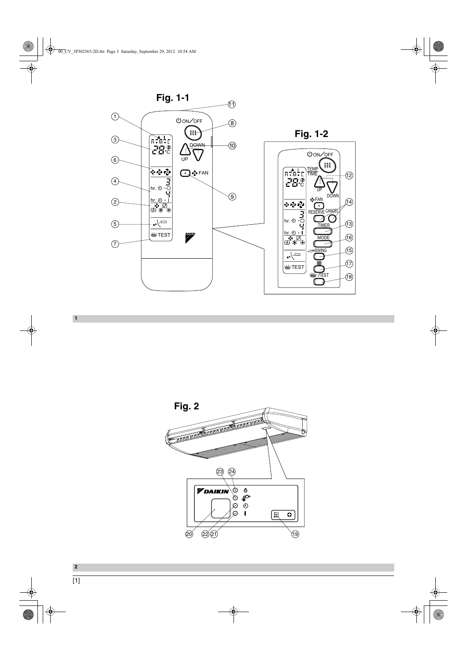



**1**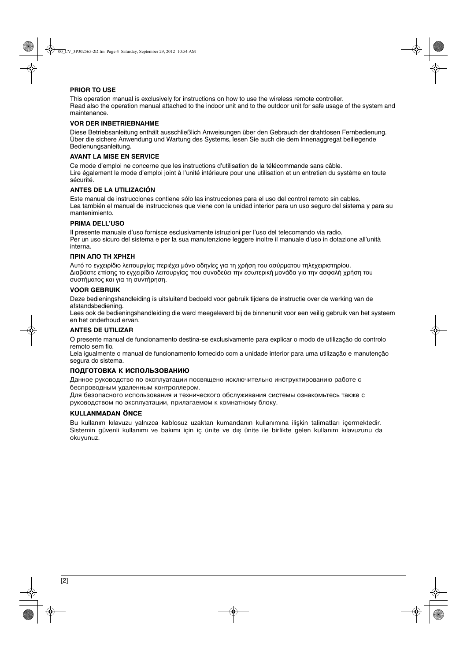#### **PRIOR TO USE**

This operation manual is exclusively for instructions on how to use the wireless remote controller. Read also the operation manual attached to the indoor unit and to the outdoor unit for safe usage of the system and maintenance.

#### **VOR DER INBETRIEBNAHME**

Diese Betriebsanleitung enthält ausschließlich Anweisungen über den Gebrauch der drahtlosen Fernbedienung. Über die sichere Anwendung und Wartung des Systems, lesen Sie auch die dem lnnenaggregat beiliegende Bedienungsanleitung.

#### **AVANT LA MISE EN SERVICE**

Ce mode d'emploi ne concerne que les instructions d'utilisation de la télécommande sans câble. Lire également le mode d'emploi joint à l'unité intérieure pour une utilisation et un entretien du système en toute sécurité.

#### **ANTES DE LA UTILIZACIÓN**

Este manual de instrucciones contiene sólo las instrucciones para el uso del control remoto sin cables. Lea también el manual de instrucciones que viene con la unidad interior para un uso seguro del sistema y para su mantenimiento.

#### **PRIMA DELL'USO**

Il presente manuale d'uso fornisce esclusivamente istruzioni per l'uso del telecomando via radio. Per un uso sicuro del sistema e per la sua manutenzione leggere inoltre il manuale d'uso in dotazione all'unità interna.

#### **ΠΡΙΝ ΑΠΟ ΤΗ ΧΡΗΣΗ**

Αυτό το εγχειρίδιο λειτουργίας περιέχει μόνο οδηγίες για τη χρήση του ασύρματου τηλεχειριστηρίου. Διαβάστε επίσης το εγχειρίδιο λειτουργίας που συνοδεύει την εσωτερική μονάδα για την ασφαλή χρήση του συστήματος και για τη συντήρηση.

#### **VOOR GEBRUIK**

Deze bedieningshandleiding is uitsluitend bedoeld voor gebruik tijdens de instructie over de werking van de afstandsbediening.

Lees ook de bedieningshandleiding die werd meegeleverd bij de binnenunit voor een veilig gebruik van het systeem en het onderhoud ervan.

#### **ANTES DE UTILIZAR**

O presente manual de funcionamento destina-se exclusivamente para explicar o modo de utilização do controlo remoto sem fio.

Leia igualmente o manual de funcionamento fornecido com a unidade interior para uma utilização e manutenção segura do sistema.

#### **ПОДГОТОВКА К ИСПОЛЬЗОВАНИЮ**

Данное руководство по эксплуатации посвящено исключительно инструктированию работе с беспроводным удаленным контроллером.

Для безопасного использования и технического обслуживания системы ознакомьтесь также с руководством по эксплуатации, прилагаемом к комнатному блоку.

#### **KULLANMADAN ÖNCE**

Bu kullanım kılavuzu yalnızca kablosuz uzaktan kumandanın kullanımına ilişkin talimatları içermektedir. Sistemin güvenli kullanımı ve bakımı için iç ünite ve dış ünite ile birlikte gelen kullanım kılavuzunu da okuyunuz.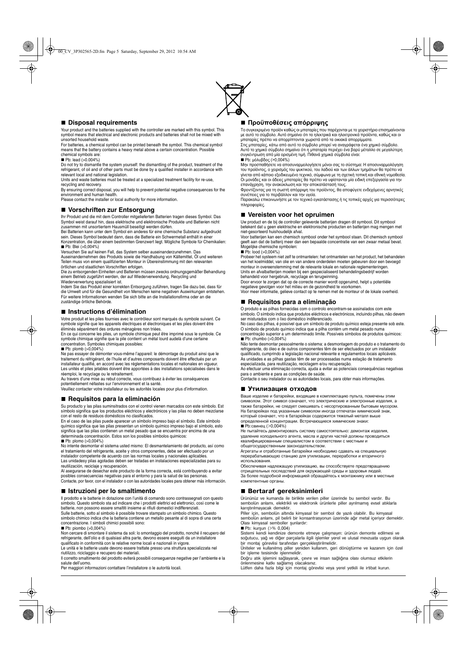

#### ■ Disposal requirements

Your product and the batteries supplied with the controller are marked with this symbol. This symbol means that electrical and electronic products and batteries shall not be mixed with unsorted household waste.

For batteries, a chemical symbol can be printed beneath the symbol. This chemical symbol means that the battery contains a heavy metal above a certain concentration. Possible chemical symbols are:

#### **Pb:** lead (>0.004%)

Do not try to dismantle the system yourself: the dismantling of the product, treatment of the refrigerant, of oil and of other parts must be done by a qualified installer in accordance with relevant local and national legislation.

Units and waste batteries must be treated at a specialized treatment facility for re-use, recycling and recovery.

By ensuring correct disposal, you will help to prevent potential negative consequences for the

environment and human health. Please contact the installer or local authority for more information.

#### **Vorschriften zur Entsorgung**

Ihr Produkt und die mit dem Controller mitgelieferten Batterien tragen dieses Symbol. Das Symbol weist darauf hin, dass elektrische und elektronische Produkte und Batterien nicht zusammen mit unsortiertem Hausmüll beseitigt werden dürfen.

Bei Batterien kann unter dem Symbol ein anderes für eine chemische Substanz aufgedruckt sein. Dieses Symbol bedeutet dann, dass die Batterie ein Schwermetall enthält in einer

Konzentration, die über einem bestimmten Grenzwert liegt. Mögliche Symbole für Chemikalien:<br>■ Pb: Blei (>0,004%)

Versuchen Sie auf keinen Fall, das System selber auseinanderzunehmen. Das Auseinandernehmen des Produkts sowie die Handhabung von Kältemittel, Öl und weiteren Teilen muss von einem qualifizierten Monteur in Übereinstimmung mit den relevanten

örtlichen und staatlichen Vorschriften erfolgen.<br>Die zu entsorgenden Einheiten und Batterien müssen zwecks ordnungsgemäßer Behandlung<br>einem Betrieb zugeführt werden, der auf Wiederverwendung, Recycling und Wiederverwertung spezialisiert ist.

Indem Sie das Produkt einer korrekten Entsorgung zuführen, tragen Sie dazu bei, dass für die Umwelt und für die Gesundheit von Menschen keine negativen Auswirkungen entstehen. Für weitere Informationen wenden Sie sich bitte an die Installationsfirma oder an die zuständige örtliche Behörde.

#### **Instructions d'élimination**

Votre produit et les piles fournies avec le contrôleur sont marqués du symbole suivant. Ce symbole signifie que les appareils électriques et électroniques et les piles doivent être éliminés séparément des ordures ménagères non triées.

En ce qui concerne les piles, un symbole chimique peut être imprimé sous le symbole. Ce symbole chimique signifie que la pile contient un métal lourd audelà d'une certaine concentration. Symboles chimiques possibles:

#### $\blacksquare$  Pb: plomb (>0,004%)

Ne pas essayer de démonter vous-même l'appareil: le démontage du produit ainsi que le traitement du réfrigérant, de l'huile et d'autres composants doivent être effectués par un installateur qualifié, en accord avec les réglementations locales et nationales en vigueur. Les unités et piles jetables doivent être apportées à des installations spécialisées dans le réemploi, le recyclage ou le retraitement.

Au travers d'une mise au rebut correcte, vous contribuez à éviter les conséquences

potentiellement néfastes sur l'environnement et la santé. Veuillez contacter votre installateur ou les autorités locales pour plus d'information.

#### **Requisitos para la eliminación**

Su producto y las pilas suminsitrados con el control vienen marcados con este símbolo. Est símbolo significa que los productos eléctricos y electrónicos y las pilas no deben mezclarse

con el resto de residuos domésticos no clasificados. En el caso de las pilas puede aparecer un símbolo impreso bajo el símbolo. Este símbolo químico significa que las pilas presentan un símbolo químico impreso bajo el símbolo, esto significa que las pilas contienen un metal pesado que se encuentra por encima de una determinada concentración. Estos son los posibles símbolos quimicos:

■ Pb: plomo (>0,004%)<br>No intente desmontar el sistema usted mismo: El desmantelamiento del producto, así como el tratamiento del refrigerante, aceite y otros componentes, debe ser efectuado por un instalador competente de acuerdo con las normas locales y nacionales aplicables.

Las unidadesy pilas agotadas deben ser tratadas en instalaciones especializadas para su reutilización, reciclaje y recuperación. Al asegurarse de desechar este producto de la forma correcta, está contribuyendo a evitar

posibles consecuencias negativas para el entorno y para la salud de las personas. Contacte, por favor, con el instalador o con las autoridades locales para obtener más información.

#### **Istruzioni per lo smaltimento**

Il prodotto e le batterie in dotazione con l'unità di comando sono contrassegnati con questo simbolo. Questo simbolo sta ad indicare che i prodotti elettrici ed elettronici, così come le batterie, non possono essere smaltiti insieme ai rifiuti domestici indifferenziati. Sulle batterie, sotto al simbolo è possibile trovare stampato un simbolo chimico. Questo simbolo chimico indica che la batteria contiene un metallo pesante al di sopra di una certa concentrazione. I simboli chimici possibili sono:

#### $\blacksquare$  Pb: piombo (>0.004%)

Non cercare di smontare il sistema da soli: lo smontaggio del prodotto, nonché il recupero del refrigerante, dell'olio e di qualsiasi altra parte, devono essere eseguiti da un installatore<br>qualificato in conformità con le relative norme locali e nazionali in vigore.<br>Le unità e le batterie usate devono essere trattat

riutilizzo, riciclaggio e recupero dei materiali.

Il corretto smaltimento del prodotto eviterà possibili conseguenze negative per l'ambiente e la salute dell'uomo.

Per maggiori informazioni contattare l'installatore o le autorità locali.

#### **ΠροϋποθÝσειò απüρριψηò**

Το συγκεκριμένο προϊόν καθώς οι μπαταρίες που παρέχονται με το χειριστήριο επισημαίνοντα<br>με αυτό το σύμβολο. Αυτό σημαίνει ότι τα ηλεκτρικά και ηλεκτρονικά προϊόντα, καθώς και οι μπαταρίες πρέπει να απορρίπτονται χωριστά από τα οικιακά απορρίμματα.

Στις μπαταρίες, κάτω από αυτό το σύμβολο μπορεί να αναγράφεται ένα χημικό σύμβολο.<br>Αυτό το χημικό σύμβολο σημαίνει ότι η μπαταρία περιέχει ένα βαρύ μέταλλο σε μεγαλύτερη συγκέντρωση από μία ορισμένη τιμή. Πιθανά χημικά σύμβολα είναι:  $\blacksquare$  Pb: μόλυβδος (>0,004%)

Μην προσπαθήσετε να αποσυναρμολογήσετε μόνοι σας το σύστημα: Η αποσυναρμολόγηση<br>του προϊόντος, ο χειρισμός του ψυκτικού, του λαδιού και των άλλων τμημάτων θα πρέπει να<br>γίνεται από κάποιο εξειδικευμένο τεχνικό, σύμφωνα με Οι μονάδες και οι άδειες μπαταρίες θα πρέπει να υφίστανται μία ειδική επεξεργασία για την επανάχρηση, την ανακύκλωση και την αποκατάστασή τους.

Φροντίζοντας για τη σωστή απόρριψη του προϊόντος, θα αποφύγετε ενδεχόμενες αρνητικές συνέπειες για το περιβάλλον και την υγεία.<br>Παρακαλώ επικοινωνήστε με τον τεχνικό εγκατάστασης ή τις τοπικές αρχές για περισσότερες

πληροφορίες.

#### **Vereisten voor het opruimen**

Uw product en de bij de controller geleverde batterijen dragen dit symbool. Dit symbool betekent dat u geen elektrische en elektronische producten en batterijen mag mengen met niet-gesorteerd huishoudelijk afval.

Voor batterijen kan een chemisch symbool onder het symbool staan. Dit chemisch symbool geeft aan dat de batterij meer dan een bepaalde concentratie van een zwaar metaal bevat. Mogelijke chemische symbolen:

 $\blacksquare$  Pb: lood (>0,004%)

Probeer het systeem niet zelf te ontmantelen: het ontmantelen van het product, het behandelen van het koelmiddel, van olie en van andere onderdelen moeten gebeuren door een bevoegd monteur in overeenstemming met de relevante lokale en nationale reglementeringen. Units en afvalbatterijen moeten bij een gespecialiseerd behandelingsbedrijf worden behandeld voor hergebruik, recyclage en terugwinning.

Door ervoor te zorgen dat op de correcte manier wordt opgeruimd, helpt u potentiële negatieve gevolgen voor het milieu en de gezondheid te voorkomen.

Voor meer informatie, gelieve contact op te nemen met de monteur of de lokale overheid.

#### **Requisitos para a eliminação**

O produto e as pilhas fornecidas com o controlo encontram-se assinalados com este símbolo. O símbolo indica que produtos eléctricos e electrónicos, incluindo pilhas, não devem

ser misturados com o lixo doméstico indiferenciado. No caso das pilhas, é possível que um símbolo de produto químico esteja presente sob este. O símbolo de produto químico indica que a pilha contém um metal pesado numa

concentração superior a um determinado limite. Possíveis símbolos de produtos químicos:  $\blacksquare$  Pb: chumbo (>0,004%)

Não tente desmontar pessoalmente o sistema: a desmontagem do produto e o tratamento do refrigerante, do óleo e de outros componentes têm de ser efectuados por um instalador qualificado, cumprindo a legislação nacional relevante e regulamentos locais aplicáveis. As unidades e as pilhas gastas têm de ser processadas numa estação de tratamento especializada, para reutilização, reciclagem e/ou recuperação.

Ao efectuar uma eliminação correcta, ajuda a evitar as potenciais consequências negativas para o ambiente e para as condições de saúde.

Contacte o seu instalador ou as autoridades locais, para obter mais informações.

#### **Утилизация отходов**

Ваше изделие и батарейки, входящие в комплектацию пульта, помечены этим символом. Этот символ означает, что электрические и электронные изделия, а также батарейки, не следует смешивать с несортированным бытовым мусором. На батарейках под указанным символом иногда отпечатан химический знак, который означает, что в батарейках содержится тяжелый металл выше<br>определенной концентрации. Встречающиеся химические знаки: ■ Pb:свинец (>0,004%)

Не пытайтесь демонтировать систему самостоятельно: демонтаж изделия, удаление холодильного агента, масла и других частей должны проводиться êвалифицированным специалистом в соответствии с местным и подлаги сподлагительном в составительством.

Агрегаты и отработанные батарейки необходимо сдавать на специальную перерабатывающую станцию для утилизации, переработки и вторичног

использования.<br>Обеспечивая надлежащую утилизацию, вы способствуете предотвращению<br>отрицательных последствий для окружающей среды и здоровья людей. За более подробной информацией обращайтесь к монтажнику или в местные êомпетентные орãаны.

#### **Bertaraf gereksinimleri**

Ürününüz ve kumanda ile birlikte verilen piller üzerinde bu sembol vardır. Bu sembolün anlamı, elektrikli ve elektronik ürünlerle piller ayrılmamış evsel atıklarla karıştırılmayacak demektir.

Piller için, sembolün altında kimyasal bir sembol de yazılı olabilir. Bu kimyasal sembolün anlamı, pil belirli bir konsantrasyonun üzerinde ağır metal içeriyor demektir. Olası kimyasal semboller şunlardır:

 $\blacksquare$  Pb: kurşun (>% 0,004)

Sistemi kendi kendinize demonte etmeye çalışmayın: ürünün demonte edilmesi ve soğutucu, yağ ve diğer parçalarla ilgili işlemler yerel ve ulusal mevzuata uygun olarak<br>bir montaj görevlisi tarafından gerçekleştirilmelidir.<br>Üniteler ve kullanılmış piller yeniden kullanım, geri dönüştürme ve kazanım içi

bir iþleme tesisinde iþlenmelidir.

Doğru atık işlemini sağlayarak, çevre ve insan sağlığına olası olumsuz etkilerin önlenmesine katkı sağlamış olacaksınız.

Lütfen daha fazla bilgi için montaj görevlisi veya yerel yetkili ile irtibat kurun.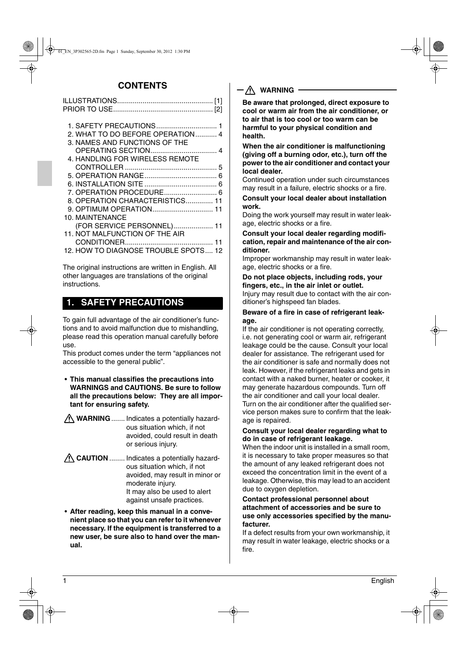# **CONTENTS**

| 2. WHAT TO DO BEFORE OPERATION  4    |  |
|--------------------------------------|--|
| 3. NAMES AND FUNCTIONS OF THE        |  |
|                                      |  |
| 4. HANDLING FOR WIRELESS REMOTE      |  |
|                                      |  |
|                                      |  |
|                                      |  |
|                                      |  |
| 8. OPERATION CHARACTERISTICS 11      |  |
|                                      |  |
| <b>10. MAINTENANCE</b>               |  |
| (FOR SERVICE PERSONNEL) 11           |  |
| 11. NOT MALFUNCTION OF THE AIR       |  |
|                                      |  |
| 12. HOW TO DIAGNOSE TROUBLE SPOTS 12 |  |

The original instructions are written in English. All other languages are translations of the original instructions.

# **1. SAFETY PRECAUTIONS**

To gain full advantage of the air conditioner's functions and to avoid malfunction due to mishandling, please read this operation manual carefully before use.

This product comes under the term "appliances not accessible to the general public".

- **This manual classifies the precautions into WARNINGS and CAUTIONS. Be sure to follow all the precautions below: They are all important for ensuring safety.**
- **WARNING** ....... Indicates a potentially hazardous situation which, if not avoided, could result in death or serious injury.
- **CAUTION** ........ Indicates a potentially hazardous situation which, if not avoided, may result in minor or moderate injury. It may also be used to alert against unsafe practices.
- **After reading, keep this manual in a convenient place so that you can refer to it whenever necessary. If the equipment is transferred to a new user, be sure also to hand over the manual.**

## **WARNING**

**Be aware that prolonged, direct exposure to cool or warm air from the air conditioner, or to air that is too cool or too warm can be harmful to your physical condition and health.**

**When the air conditioner is malfunctioning (giving off a burning odor, etc.), turn off the power to the air conditioner and contact your local dealer.**

Continued operation under such circumstances may result in a failure, electric shocks or a fire.

**Consult your local dealer about installation work.**

Doing the work yourself may result in water leakage, electric shocks or a fire.

**Consult your local dealer regarding modification, repair and maintenance of the air conditioner.**

Improper workmanship may result in water leakage, electric shocks or a fire.

**Do not place objects, including rods, your fingers, etc., in the air inlet or outlet.** Injury may result due to contact with the air conditioner's highspeed fan blades.

## **Beware of a fire in case of refrigerant leakage.**

If the air conditioner is not operating correctly, i.e. not generating cool or warm air, refrigerant leakage could be the cause. Consult your local dealer for assistance. The refrigerant used for the air conditioner is safe and normally does not leak. However, if the refrigerant leaks and gets in contact with a naked burner, heater or cooker, it may generate hazardous compounds. Turn off the air conditioner and call your local dealer. Turn on the air conditioner after the qualified service person makes sure to confirm that the leakage is repaired.

## **Consult your local dealer regarding what to do in case of refrigerant leakage.**

When the indoor unit is installed in a small room. it is necessary to take proper measures so that the amount of any leaked refrigerant does not exceed the concentration limit in the event of a leakage. Otherwise, this may lead to an accident due to oxygen depletion.

#### **Contact professional personnel about attachment of accessories and be sure to use only accessories specified by the manufacturer.**

If a defect results from your own workmanship, it may result in water leakage, electric shocks or a fire.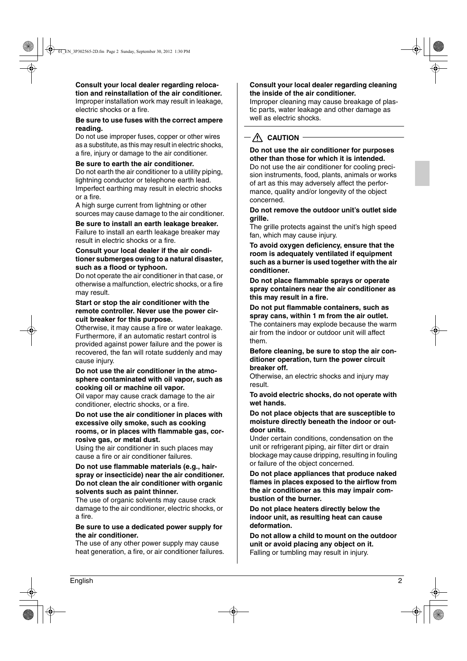#### **Consult your local dealer regarding relocation and reinstallation of the air conditioner.**

Improper installation work may result in leakage, electric shocks or a fire.

#### **Be sure to use fuses with the correct ampere reading.**

Do not use improper fuses, copper or other wires as a substitute, as this may result in electric shocks, a fire, injury or damage to the air conditioner.

## **Be sure to earth the air conditioner.**

Do not earth the air conditioner to a utility piping, lightning conductor or telephone earth lead. Imperfect earthing may result in electric shocks or a fire.

A high surge current from lightning or other sources may cause damage to the air conditioner.

## **Be sure to install an earth leakage breaker.**

Failure to install an earth leakage breaker may result in electric shocks or a fire.

#### **Consult your local dealer if the air conditioner submerges owing to a natural disaster, such as a flood or typhoon.**

Do not operate the air conditioner in that case, or otherwise a malfunction, electric shocks, or a fire may result.

#### **Start or stop the air conditioner with the remote controller. Never use the power circuit breaker for this purpose.**

Otherwise, it may cause a fire or water leakage. Furthermore, if an automatic restart control is provided against power failure and the power is recovered, the fan will rotate suddenly and may cause injury.

#### **Do not use the air conditioner in the atmosphere contaminated with oil vapor, such as cooking oil or machine oil vapor.**

Oil vapor may cause crack damage to the air conditioner, electric shocks, or a fire.

**Do not use the air conditioner in places with excessive oily smoke, such as cooking rooms, or in places with flammable gas, corrosive gas, or metal dust.**

Using the air conditioner in such places may cause a fire or air conditioner failures.

#### **Do not use flammable materials (e.g., hairspray or insecticide) near the air conditioner. Do not clean the air conditioner with organic solvents such as paint thinner.**

The use of organic solvents may cause crack damage to the air conditioner, electric shocks, or a fire.

## **Be sure to use a dedicated power supply for the air conditioner.**

The use of any other power supply may cause heat generation, a fire, or air conditioner failures.

## **Consult your local dealer regarding cleaning the inside of the air conditioner.**

Improper cleaning may cause breakage of plastic parts, water leakage and other damage as well as electric shocks.

# $-\bigwedge$  **CAUTION**

#### **Do not use the air conditioner for purposes other than those for which it is intended.**

Do not use the air conditioner for cooling precision instruments, food, plants, animals or works of art as this may adversely affect the performance, quality and/or longevity of the object concerned.

## **Do not remove the outdoor unit's outlet side grille.**

The grille protects against the unit's high speed fan, which may cause injury.

**To avoid oxygen deficiency, ensure that the room is adequately ventilated if equipment such as a burner is used together with the air conditioner.**

**Do not place flammable sprays or operate spray containers near the air conditioner as this may result in a fire.**

## **Do not put flammable containers, such as spray cans, within 1 m from the air outlet.**

The containers may explode because the warm air from the indoor or outdoor unit will affect them.

#### **Before cleaning, be sure to stop the air conditioner operation, turn the power circuit breaker off.**

Otherwise, an electric shocks and injury may result.

## **To avoid electric shocks, do not operate with wet hands.**

#### **Do not place objects that are susceptible to moisture directly beneath the indoor or outdoor units.**

Under certain conditions, condensation on the unit or refrigerant piping, air filter dirt or drain blockage may cause dripping, resulting in fouling or failure of the object concerned.

## **Do not place appliances that produce naked flames in places exposed to the airflow from the air conditioner as this may impair combustion of the burner.**

**Do not place heaters directly below the indoor unit, as resulting heat can cause deformation.**

**Do not allow a child to mount on the outdoor unit or avoid placing any object on it.** Falling or tumbling may result in injury.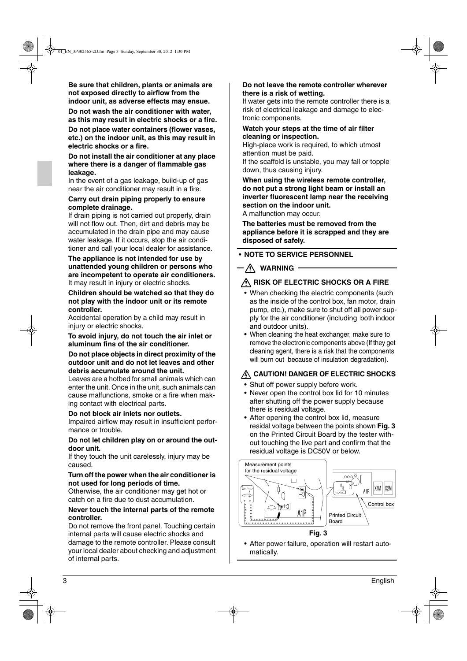**Be sure that children, plants or animals are not exposed directly to airflow from the indoor unit, as adverse effects may ensue.**

**Do not wash the air conditioner with water, as this may result in electric shocks or a fire.**

**Do not place water containers (flower vases, etc.) on the indoor unit, as this may result in electric shocks or a fire.**

#### **Do not install the air conditioner at any place where there is a danger of flammable gas leakage.**

In the event of a gas leakage, build-up of gas near the air conditioner may result in a fire.

#### **Carry out drain piping properly to ensure complete drainage.**

If drain piping is not carried out properly, drain will not flow out. Then, dirt and debris may be accumulated in the drain pipe and may cause water leakage. If it occurs, stop the air conditioner and call your local dealer for assistance.

#### **The appliance is not intended for use by unattended young children or persons who are incompetent to operate air conditioners.** It may result in injury or electric shocks.

#### **Children should be watched so that they do not play with the indoor unit or its remote controller.**

Accidental operation by a child may result in injury or electric shocks.

## **To avoid injury, do not touch the air inlet or aluminum fins of the air conditioner.**

## **Do not place objects in direct proximity of the outdoor unit and do not let leaves and other debris accumulate around the unit.**

Leaves are a hotbed for small animals which can enter the unit. Once in the unit, such animals can cause malfunctions, smoke or a fire when making contact with electrical parts.

## **Do not block air inlets nor outlets.**

Impaired airflow may result in insufficient performance or trouble.

#### **Do not let children play on or around the outdoor unit.**

If they touch the unit carelessly, injury may be caused.

## **Turn off the power when the air conditioner is not used for long periods of time.**

Otherwise, the air conditioner may get hot or catch on a fire due to dust accumulation.

#### **Never touch the internal parts of the remote controller.**

Do not remove the front panel. Touching certain internal parts will cause electric shocks and damage to the remote controller. Please consult your local dealer about checking and adjustment of internal parts.

### **Do not leave the remote controller wherever there is a risk of wetting.**

If water gets into the remote controller there is a risk of electrical leakage and damage to electronic components.

#### **Watch your steps at the time of air filter cleaning or inspection.**

High-place work is required, to which utmost attention must be paid.

If the scaffold is unstable, you may fall or topple down, thus causing injury.

**When using the wireless remote controller, do not put a strong light beam or install an inverter fluorescent lamp near the receiving section on the indoor unit.**

A malfunction may occur.

**The batteries must be removed from the appliance before it is scrapped and they are disposed of safely.**

## • **NOTE TO SERVICE PERSONNEL**

# $-\bigwedge$  WARNING

## **RISK OF ELECTRIC SHOCKS OR A FIRE**

- When checking the electric components (such as the inside of the control box, fan motor, drain pump, etc.), make sure to shut off all power supply for the air conditioner (including both indoor and outdoor units).
- When cleaning the heat exchanger, make sure to remove the electronic components above (If they get cleaning agent, there is a risk that the components will burn out because of insulation degradation).

## **A CAUTION! DANGER OF ELECTRIC SHOCKS**

- Shut off power supply before work.
- Never open the control box lid for 10 minutes after shutting off the power supply because there is residual voltage.
- After opening the control box lid, measure residal voltage between the points shown **Fig. 3** on the Printed Circuit Board by the tester without touching the live part and confirm that the residual voltage is DC50V or below.



**Fig. 3**

• After power failure, operation will restart automatically.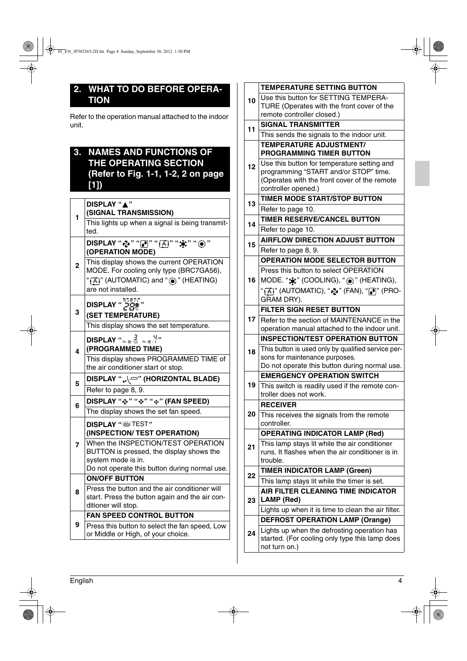# **2. WHAT TO DO BEFORE OPERA-TION**

Refer to the operation manual attached to the indoor unit.

# **3. NAMES AND FUNCTIONS OF THE OPERATING SECTION (Refer to Fig. 1-1, 1-2, 2 on page [1])**

| 1                       | DISPLAY "A"<br>(SIGNAL TRANSMISSION)                                                                                              |
|-------------------------|-----------------------------------------------------------------------------------------------------------------------------------|
|                         | This lights up when a signal is being transmit-<br>ted.                                                                           |
|                         | DISPLAY "ゐ" "?!" " <mark>A</mark> !" "☀" "☀"<br>(OPERATION MODE)                                                                  |
| $\overline{2}$          | This display shows the current OPERATION<br>MODE. For cooling only type (BRC7GA56),<br>"[A]" (AUTOMATIC) and " <a>" (HEATING)</a> |
|                         | are not installed.                                                                                                                |
|                         | DISPLAY " $\frac{1}{n}$ $\frac{1}{n}$ $\frac{n}{n}$                                                                               |
| 3                       | (SET TEMPERATURE)                                                                                                                 |
|                         | This display shows the set temperature.                                                                                           |
|                         | DISPLAY " $\frac{7}{2}$ or $\frac{9}{2}$ "                                                                                        |
| $\overline{\mathbf{4}}$ | (PROGRAMMED TIME)                                                                                                                 |
|                         | This display shows PROGRAMMED TIME of<br>the air conditioner start or stop.                                                       |
|                         |                                                                                                                                   |
|                         | DISPLAY ""∖ ← " (HORIZONTAL BLADE)                                                                                                |
| 5                       | Refer to page 8, 9.                                                                                                               |
|                         | DISPLAY "~" "~" "~" (FAN SPEED)                                                                                                   |
| 6                       | The display shows the set fan speed.                                                                                              |
|                         | DISPLAY " W TEST"                                                                                                                 |
|                         | (INSPECTION/ TEST OPERATION)                                                                                                      |
| 7                       | When the INSPECTION/TEST OPERATION                                                                                                |
|                         | BUTTON is pressed, the display shows the                                                                                          |
|                         | system mode is in.<br>Do not operate this button during normal use.                                                               |
|                         | <b>ON/OFF BUTTON</b>                                                                                                              |
| 8                       | Press the button and the air conditioner will                                                                                     |
|                         | start. Press the button again and the air con-                                                                                    |
|                         | ditioner will stop.<br><b>FAN SPEED CONTROL BUTTON</b>                                                                            |
| 9                       | Press this button to select the fan speed, Low                                                                                    |
|                         | or Middle or High, of your choice.                                                                                                |

| 10 | <b>TEMPERATURE SETTING BUTTON</b>                                                             |
|----|-----------------------------------------------------------------------------------------------|
|    | Use this button for SETTING TEMPERA-                                                          |
|    | TURE (Operates with the front cover of the                                                    |
|    | remote controller closed.)                                                                    |
| 11 | <b>SIGNAL TRANSMITTER</b>                                                                     |
|    | This sends the signals to the indoor unit.                                                    |
|    | <b>TEMPERATURE ADJUSTMENT/</b>                                                                |
|    | <b>PROGRAMMING TIMER BUTTON</b>                                                               |
| 12 | Use this button for temperature setting and<br>programming "START and/or STOP" time.          |
|    | (Operates with the front cover of the remote                                                  |
|    | controller opened.)                                                                           |
|    | <b>TIMER MODE START/STOP BUTTON</b>                                                           |
| 13 | Refer to page 10.                                                                             |
|    | TIMER RESERVE/CANCEL BUTTON                                                                   |
| 14 | Refer to page 10.                                                                             |
|    | <b>AIRFLOW DIRECTION ADJUST BUTTON</b>                                                        |
| 15 | Refer to page 8, 9.                                                                           |
|    | <b>OPERATION MODE SELECTOR BUTTON</b>                                                         |
|    | Press this button to select OPERATION                                                         |
| 16 | MODE. " $\frac{1}{2}$ " (COOLING), " $\frac{1}{2}$ " (HEATING),                               |
|    |                                                                                               |
|    | " <sub>[</sub> Ă]" (AUTOMATIC), " <b>بُرِي</b> " (FAN), " $\bullet$ ]" (PRO-<br>GRAM DRY).    |
|    | <b>FILTER SIGN RESET BUTTON</b>                                                               |
| 17 | Refer to the section of MAINTENANCE in the                                                    |
|    | operation manual attached to the indoor unit.                                                 |
|    | <b>INSPECTION/TEST OPERATION BUTTON</b>                                                       |
|    | This button is used only by qualified service per-                                            |
| 18 | sons for maintenance purposes.                                                                |
|    | Do not operate this button during normal use.                                                 |
|    | <b>EMERGENCY OPERATION SWITCH</b>                                                             |
| 19 | This switch is readily used if the remote con-                                                |
|    | troller does not work.                                                                        |
|    | <b>RECEIVER</b>                                                                               |
| 20 | This receives the signals from the remote                                                     |
|    | controller.                                                                                   |
|    | <b>OPERATING INDICATOR LAMP (Red)</b>                                                         |
| 21 | This lamp stays lit while the air conditioner                                                 |
|    | runs. It flashes when the air conditioner is in                                               |
|    | trouble.                                                                                      |
| 22 | <b>TIMER INDICATOR LAMP (Green)</b>                                                           |
|    | This lamp stays lit while the timer is set.                                                   |
| 23 | AIR FILTER CLEANING TIME INDICATOR<br>LAMP (Red)                                              |
|    |                                                                                               |
|    | Lights up when it is time to clean the air filter.                                            |
|    | <b>DEFROST OPERATION LAMP (Orange)</b>                                                        |
| 24 | Lights up when the defrosting operation has<br>started. (For cooling only type this lamp does |
|    | not turn on.)                                                                                 |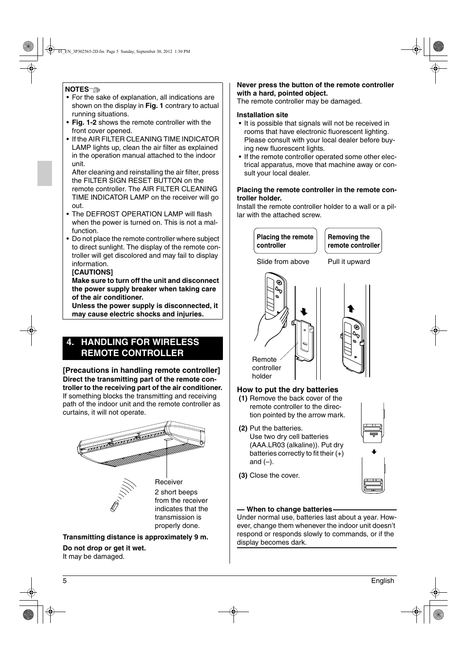## **NOTES**

- For the sake of explanation, all indications are shown on the display in **Fig. 1** contrary to actual running situations.
- **Fig. 1-2** shows the remote controller with the front cover opened.
- If the AIR FILTER CLEANING TIME INDICATOR LAMP lights up, clean the air filter as explained in the operation manual attached to the indoor unit.

After cleaning and reinstalling the air filter, press the FILTER SIGN RESET BUTTON on the remote controller. The AIR FILTER CLEANING TIME INDICATOR LAMP on the receiver will go out.

- The DEFROST OPERATION LAMP will flash when the power is turned on. This is not a malfunction.
- Do not place the remote controller where subject to direct sunlight. The display of the remote controller will get discolored and may fail to display information.

## **[CAUTIONS]**

## **Make sure to turn off the unit and disconnect the power supply breaker when taking care of the air conditioner.**

**Unless the power supply is disconnected, it may cause electric shocks and injuries.**

# **4. HANDLING FOR WIRELESS REMOTE CONTROLLER**

#### **[Precautions in handling remote controller] Direct the transmitting part of the remote controller to the receiving part of the air conditioner.** If something blocks the transmitting and receiving path of the indoor unit and the remote controller as curtains, it will not operate.



**Transmitting distance is approximately 9 m. Do not drop or get it wet.** It may be damaged.

## **Never press the button of the remote controller with a hard, pointed object.**

The remote controller may be damaged.

## **Installation site**

- It is possible that signals will not be received in rooms that have electronic fluorescent lighting. Please consult with your local dealer before buying new fluorescent lights.
- If the remote controller operated some other electrical apparatus, move that machine away or consult your local dealer.

## **Placing the remote controller in the remote controller holder.**

Install the remote controller holder to a wall or a pillar with the attached screw.



- **(1)** Remove the back cover of the remote controller to the direction pointed by the arrow mark.
- **(2)** Put the batteries. Use two dry cell batteries (AAA.LR03 (alkaline)). Put dry batteries correctly to fit their  $(+)$ and  $(-)$ .



**(3)** Close the cover.

## **When to change batteries**

Under normal use, batteries last about a year. However, change them whenever the indoor unit doesn't respond or responds slowly to commands, or if the display becomes dark.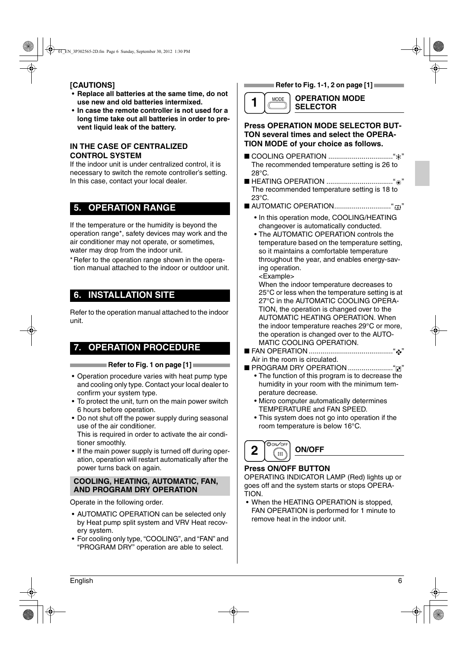## **[CAUTIONS]**

- **Replace all batteries at the same time, do not use new and old batteries intermixed.**
- **In case the remote controller is not used for a long time take out all batteries in order to prevent liquid leak of the battery.**

## **IN THE CASE OF CENTRALIZED CONTROL SYSTEM**

If the indoor unit is under centralized control, it is necessary to switch the remote controller's setting. In this case, contact your local dealer.

# **5. OPERATION RANGE**

If the temperature or the humidity is beyond the operation range\*, safety devices may work and the air conditioner may not operate, or sometimes, water may drop from the indoor unit.

\*Refer to the operation range shown in the operation manual attached to the indoor or outdoor unit.

# **6. INSTALLATION SITE**

Refer to the operation manual attached to the indoor unit.

# **7. OPERATION PROCEDURE**

## **Refer to Fig. 1 on page [1] <b>Refer** to Fig. 1 on page [1]

- Operation procedure varies with heat pump type and cooling only type. Contact your local dealer to confirm your system type.
- To protect the unit, turn on the main power switch 6 hours before operation.
- Do not shut off the power supply during seasonal use of the air conditioner. This is required in order to activate the air conditioner smoothly.
- If the main power supply is turned off during operation, operation will restart automatically after the power turns back on again.

## **COOLING, HEATING, AUTOMATIC, FAN, AND PROGRAM DRY OPERATION**

Operate in the following order.

- AUTOMATIC OPERATION can be selected only by Heat pump split system and VRV Heat recovery system.
- For cooling only type, "COOLING", and "FAN" and "PROGRAM DRY" operation are able to select.

**Refer to Fig. 1-1, 2 on page [1]** 



### **OPERATION MODE SELECTOR**

## **Press OPERATION MODE SELECTOR BUT-TON several times and select the OPERA-TION MODE of your choice as follows.**

- COOLING OPERATION ................................." " The recommended temperature setting is 26 to  $28^{\circ}$ C.
- HEATING OPERATION .................................." " The recommended temperature setting is 18 to 23°C.
- AUTOMATIC OPERATION............................." "
	- In this operation mode, COOLING/HEATING changeover is automatically conducted.
	- The AUTOMATIC OPERATION controls the temperature based on the temperature setting, so it maintains a comfortable temperature throughout the year, and enables energy-saving operation.

<Example>

When the indoor temperature decreases to 25°C or less when the temperature setting is at 27°C in the AUTOMATIC COOLING OPERA-TION, the operation is changed over to the AUTOMATIC HEATING OPERATION. When the indoor temperature reaches 29°C or more, the operation is changed over to the AUTO-MATIC COOLING OPERATION.

- FAN OPERATION ..........................................." " Air in the room is circulated.
- PROGRAM DRY OPERATION ......................." "
	- The function of this program is to decrease the humidity in your room with the minimum temperature decrease.
	- Micro computer automatically determines TEMPERATURE and FAN SPEED.
	- This system does not go into operation if the room temperature is below 16°C.

**ON/OFF 2 OON/OFF** 

## **Press ON/OFF BUTTON**

OPERATING INDICATOR LAMP (Red) lights up or goes off and the system starts or stops OPERA-TION.

• When the HEATING OPERATION is stopped. FAN OPERATION is performed for 1 minute to remove heat in the indoor unit.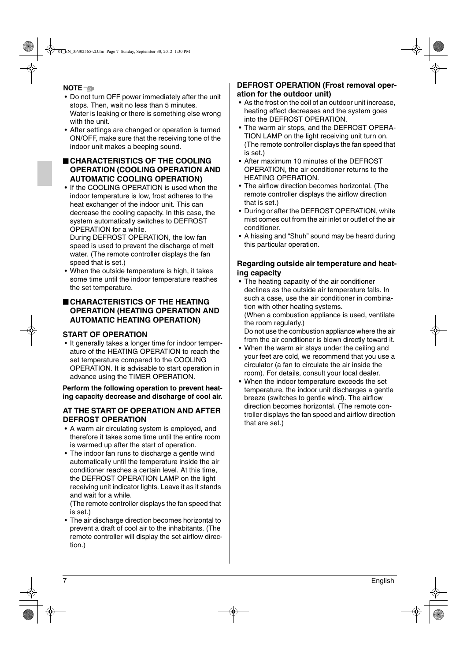**NOTE**

- Do not turn OFF power immediately after the unit stops. Then, wait no less than 5 minutes. Water is leaking or there is something else wrong with the unit.
- After settings are changed or operation is turned ON/OFF, make sure that the receiving tone of the indoor unit makes a beeping sound.

## ■ **CHARACTERISTICS OF THE COOLING OPERATION (COOLING OPERATION AND AUTOMATIC COOLING OPERATION)**

• If the COOLING OPERATION is used when the indoor temperature is low, frost adheres to the heat exchanger of the indoor unit. This can decrease the cooling capacity. In this case, the system automatically switches to DEFROST OPERATION for a while.

During DEFROST OPERATION, the low fan speed is used to prevent the discharge of melt water. (The remote controller displays the fan speed that is set.)

• When the outside temperature is high, it takes some time until the indoor temperature reaches the set temperature.

## ■ **CHARACTERISTICS OF THE HEATING OPERATION (HEATING OPERATION AND AUTOMATIC HEATING OPERATION)**

## **START OF OPERATION**

• It generally takes a longer time for indoor temperature of the HEATING OPERATION to reach the set temperature compared to the COOLING OPERATION. It is advisable to start operation in advance using the TIMER OPERATION.

**Perform the following operation to prevent heating capacity decrease and discharge of cool air.**

## **AT THE START OF OPERATION AND AFTER DEFROST OPERATION**

- A warm air circulating system is employed, and therefore it takes some time until the entire room is warmed up after the start of operation.
- The indoor fan runs to discharge a gentle wind automatically until the temperature inside the air conditioner reaches a certain level. At this time, the DEFROST OPERATION LAMP on the light receiving unit indicator lights. Leave it as it stands and wait for a while.

(The remote controller displays the fan speed that is set.)

• The air discharge direction becomes horizontal to prevent a draft of cool air to the inhabitants. (The remote controller will display the set airflow direction.)

## **DEFROST OPERATION (Frost removal operation for the outdoor unit)**

- As the frost on the coil of an outdoor unit increase, heating effect decreases and the system goes into the DEFROST OPERATION.
- The warm air stops, and the DEFROST OPERA-TION LAMP on the light receiving unit turn on. (The remote controller displays the fan speed that is set.)
- After maximum 10 minutes of the DEFROST OPERATION, the air conditioner returns to the HEATING OPERATION.
- The airflow direction becomes horizontal. (The remote controller displays the airflow direction that is set.)
- During or after the DEFROST OPERATION, white mist comes out from the air inlet or outlet of the air conditioner.
- A hissing and "Shuh" sound may be heard during this particular operation.

## **Regarding outside air temperature and heating capacity**

• The heating capacity of the air conditioner declines as the outside air temperature falls. In such a case, use the air conditioner in combination with other heating systems. (When a combustion appliance is used, ventilate the room regularly.)

Do not use the combustion appliance where the air from the air conditioner is blown directly toward it.

- When the warm air stays under the ceiling and your feet are cold, we recommend that you use a circulator (a fan to circulate the air inside the room). For details, consult your local dealer.
- When the indoor temperature exceeds the set temperature, the indoor unit discharges a gentle breeze (switches to gentle wind). The airflow direction becomes horizontal. (The remote controller displays the fan speed and airflow direction that are set.)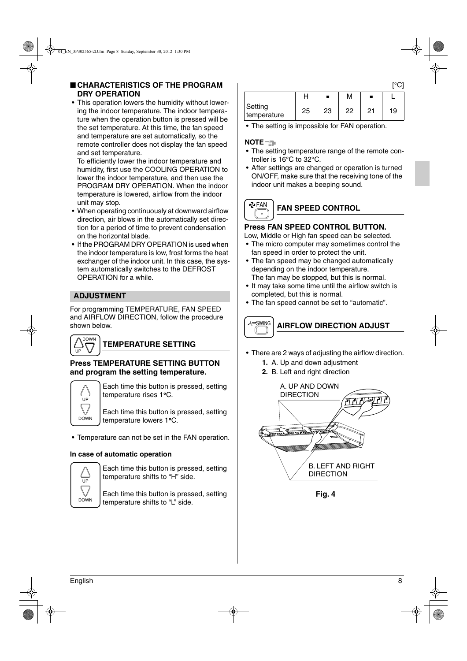• This operation lowers the humidity without lowering the indoor temperature. The indoor temperature when the operation button is pressed will be the set temperature. At this time, the fan speed and temperature are set automatically, so the remote controller does not display the fan speed and set temperature.

To efficiently lower the indoor temperature and humidity, first use the COOLING OPERATION to lower the indoor temperature, and then use the PROGRAM DRY OPERATION. When the indoor temperature is lowered, airflow from the indoor unit may stop.

- When operating continuously at downward airflow direction, air blows in the automatically set direction for a period of time to prevent condensation on the horizontal blade.
- If the PROGRAM DRY OPERATION is used when the indoor temperature is low, frost forms the heat exchanger of the indoor unit. In this case, the system automatically switches to the DEFROST OPERATION for a while.

## **ADJUSTMENT**

For programming TEMPERATURE, FAN SPEED and AIRFLOW DIRECTION, follow the procedure shown below.



# **TEMPERATURE SETTING**

## **Press TEMPERATURE SETTING BUTTON and program the setting temperature.**



Each time this button is pressed, setting temperature rises 1°C.

Each time this button is pressed, setting temperature lowers 1°C.

• Temperature can not be set in the FAN operation.

## **In case of automatic operation**



Each time this button is pressed, setting temperature shifts to "H" side.

Each time this button is pressed, setting temperature shifts to "L" side.

|                        |    |    | Μ  |    |    |
|------------------------|----|----|----|----|----|
| Setting<br>temperature | 25 | 23 | 22 | 21 | 19 |

• The setting is impossible for FAN operation.

## **NOTE**

- The setting temperature range of the remote controller is 16°C to 32°C.
- After settings are changed or operation is turned ON/OFF, make sure that the receiving tone of the indoor unit makes a beeping sound.

#### **P**FAN **FAN SPEED CONTROL**  $\circ$

## **Press FAN SPEED CONTROL BUTTON.**

Low, Middle or High fan speed can be selected.

- The micro computer may sometimes control the fan speed in order to protect the unit.
- The fan speed may be changed automatically depending on the indoor temperature. The fan may be stopped, but this is normal.
- It may take some time until the airflow switch is completed, but this is normal.
- The fan speed cannot be set to "automatic".



- There are 2 ways of adjusting the airflow direction.
	- **1.** A. Up and down adjustment
	- **2.** B. Left and right direction



**Fig. 4**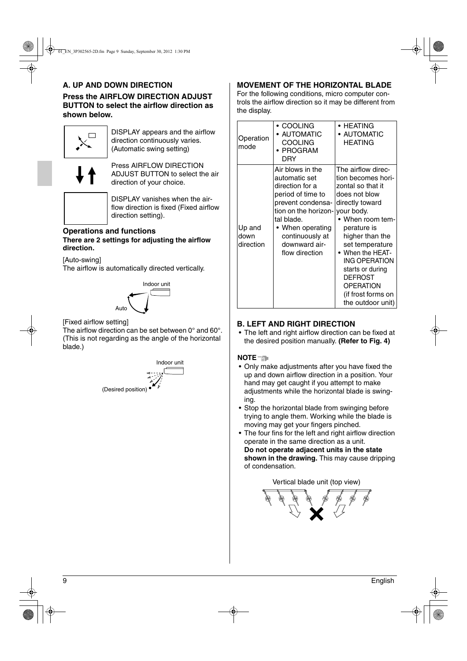## **A. UP AND DOWN DIRECTION**

**Press the AIRFLOW DIRECTION ADJUST BUTTON to select the airflow direction as shown below.**



DISPLAY appears and the airflow direction continuously varies. (Automatic swing setting)



Press AIRFLOW DIRECTION ADJUST BUTTON to select the air direction of your choice.



DISPLAY vanishes when the airflow direction is fixed (Fixed airflow direction setting).

## **Operations and functions There are 2 settings for adjusting the airflow direction.**

[Auto-swing]

The airflow is automatically directed vertically.



[Fixed airflow setting]

The airflow direction can be set between 0° and 60°. (This is not regarding as the angle of the horizontal blade.)



## **MOVEMENT OF THE HORIZONTAL BLADE**

For the following conditions, micro computer controls the airflow direction so it may be different from the display.

| Operation<br>mode           | ∙ COOLING<br>• AUTOMATIC<br><b>COOLING</b><br>• PROGRAM<br>DRY                                                                                                                                                 | • HEATING<br><b>AUTOMATIC</b><br><b>HEATING</b>                                                                                                                                                                                                                                                                                           |
|-----------------------------|----------------------------------------------------------------------------------------------------------------------------------------------------------------------------------------------------------------|-------------------------------------------------------------------------------------------------------------------------------------------------------------------------------------------------------------------------------------------------------------------------------------------------------------------------------------------|
| Up and<br>down<br>direction | Air blows in the<br>automatic set<br>direction for a<br>period of time to<br>prevent condensa-<br>tion on the horizon-<br>tal blade.<br>• When operating<br>continuously at<br>downward air-<br>flow direction | The airflow direc-<br>tion becomes hori-<br>zontal so that it<br>does not blow<br>directly toward<br>your body.<br>• When room tem-<br>perature is<br>higher than the<br>set temperature<br>• When the HEAT-<br><b>ING OPERATION</b><br>starts or during<br><b>DEFROST</b><br><b>OPERATION</b><br>(if frost forms on<br>the outdoor unit) |

## **B. LEFT AND RIGHT DIRECTION**

• The left and right airflow direction can be fixed at the desired position manually. **(Refer to Fig. 4)**

## **NOTE**

- Only make adjustments after you have fixed the up and down airflow direction in a position. Your hand may get caught if you attempt to make adjustments while the horizontal blade is swinging.
- Stop the horizontal blade from swinging before trying to angle them. Working while the blade is moving may get your fingers pinched.
- The four fins for the left and right airflow direction operate in the same direction as a unit. **Do not operate adjacent units in the state shown in the drawing.** This may cause dripping of condensation.



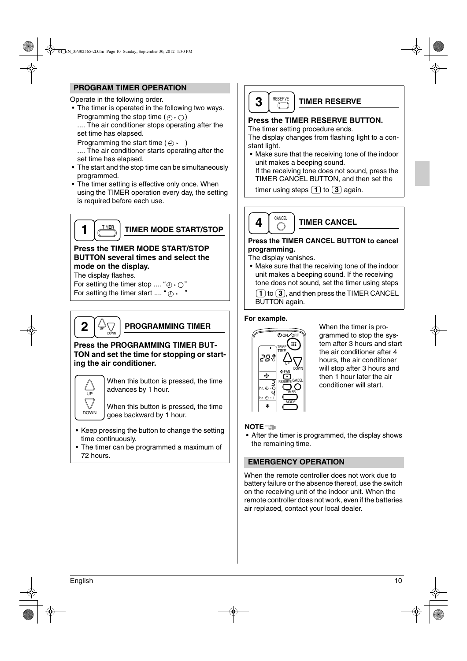## **PROGRAM TIMER OPERATION**

Operate in the following order.

• The timer is operated in the following two ways. Programming the stop time  $(\oplus \cdot \bigcirc)$ .... The air conditioner stops operating after the set time has elapsed.

Programming the start time  $(4) \cdot$  1)

.... The air conditioner starts operating after the set time has elapsed.

- The start and the stop time can be simultaneously programmed.
- The timer setting is effective only once. When using the TIMER operation every day, the setting is required before each use.



**TIMER MODE START/STOP**

## **Press the TIMER MODE START/STOP BUTTON several times and select the mode on the display.**

The display flashes.

For setting the timer stop .... " $\oplus \cdot \bigcap$ " For setting the timer start .... " $\oplus$   $\cdot$  |"

**2** DOWN

UP

## **PROGRAMMING TIMER**

## **Press the PROGRAMMING TIMER BUT-TON and set the time for stopping or starting the air conditioner.**



When this button is pressed, the time advances by 1 hour.

When this button is pressed, the time  $D^{\text{OWN}}$   $\vert$  goes backward by 1 hour.

- Keep pressing the button to change the setting time continuously.
- The timer can be programmed a maximum of 72 hours.



## **TIMER RESERVE**

## **Press the TIMER RESERVE BUTTON.**

The timer setting procedure ends.

The display changes from flashing light to a constant light.

• Make sure that the receiving tone of the indoor unit makes a beeping sound.

If the receiving tone does not sound, press the TIMER CANCEL BUTTON, and then set the

timer using steps  $(1)$  to  $(3)$  again.



**TIMER CANCEL**

## **Press the TIMER CANCEL BUTTON to cancel programming.**

The display vanishes.

• Make sure that the receiving tone of the indoor unit makes a beeping sound. If the receiving tone does not sound, set the timer using steps

**1**) to  $(3)$ , and then press the TIMER CANCEL BUTTON again.

## **For example.**



When the timer is programmed to stop the system after 3 hours and start the air conditioner after 4 hours, the air conditioner will stop after 3 hours and then 1 hour later the air conditioner will start.

## **NOTE**

• After the timer is programmed, the display shows the remaining time.

## **EMERGENCY OPERATION**

When the remote controller does not work due to battery failure or the absence thereof, use the switch on the receiving unit of the indoor unit. When the remote controller does not work, even if the batteries air replaced, contact your local dealer.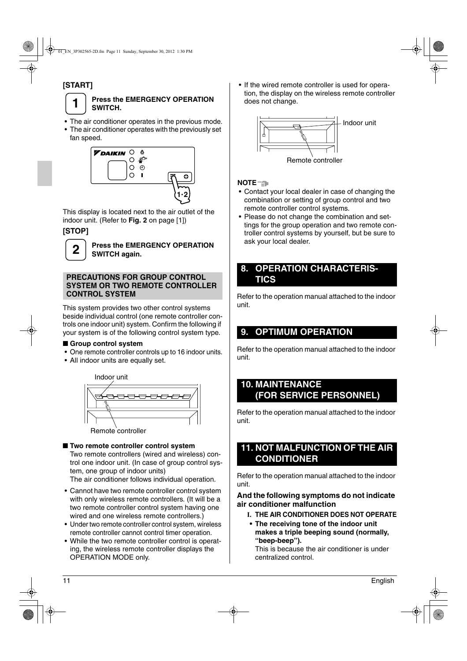# **[START]**



## **Press the EMERGENCY OPERATION SWITCH.**

- The air conditioner operates in the previous mode.
- The air conditioner operates with the previously set fan speed.



This display is located next to the air outlet of the indoor unit. (Refer to **Fig. 2** on page [1])

# **[STOP]**



**Press the EMERGENCY OPERATION SWITCH again.**

## **PRECAUTIONS FOR GROUP CONTROL SYSTEM OR TWO REMOTE CONTROLLER CONTROL SYSTEM**

This system provides two other control systems beside individual control (one remote controller controls one indoor unit) system. Confirm the following if your system is of the following control system type.

## ■ Group control system

- One remote controller controls up to 16 indoor units.
- All indoor units are equally set.



■ **Two remote controller control system** 

Two remote controllers (wired and wireless) control one indoor unit. (In case of group control system, one group of indoor units)

The air conditioner follows individual operation.

- Cannot have two remote controller control system with only wireless remote controllers. (It will be a two remote controller control system having one wired and one wireless remote controllers.)
- Under two remote controller control system, wireless remote controller cannot control timer operation.
- While the two remote controller control is operating, the wireless remote controller displays the OPERATION MODE only.

• If the wired remote controller is used for operation, the display on the wireless remote controller does not change.



## **NOTE**

- Contact your local dealer in case of changing the combination or setting of group control and two remote controller control systems.
- Please do not change the combination and settings for the group operation and two remote controller control systems by yourself, but be sure to ask your local dealer.

# **8. OPERATION CHARACTERIS-TICS**

Refer to the operation manual attached to the indoor unit.

# **9. OPTIMUM OPERATION**

Refer to the operation manual attached to the indoor unit.

# **10. MAINTENANCE (FOR SERVICE PERSONNEL)**

Refer to the operation manual attached to the indoor unit.

# **11. NOT MALFUNCTION OF THE AIR CONDITIONER**

Refer to the operation manual attached to the indoor unit.

## **And the following symptoms do not indicate air conditioner malfunction**

- **I. THE AIR CONDITIONER DOES NOT OPERATE**
- **The receiving tone of the indoor unit makes a triple beeping sound (normally, "beep-beep").**

This is because the air conditioner is under centralized control.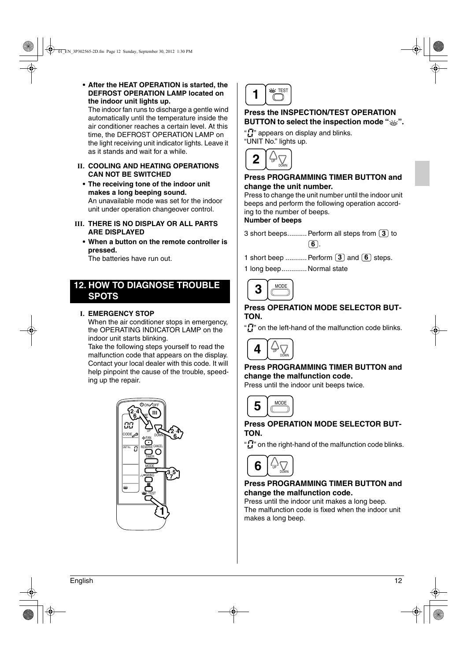**• After the HEAT OPERATION is started, the DEFROST OPERATION LAMP located on the indoor unit lights up.**

The indoor fan runs to discharge a gentle wind automatically until the temperature inside the air conditioner reaches a certain level. At this time, the DEFROST OPERATION LAMP on the light receiving unit indicator lights. Leave it as it stands and wait for a while.

- **II. COOLING AND HEATING OPERATIONS CAN NOT BE SWITCHED**
	- **The receiving tone of the indoor unit makes a long beeping sound.** An unavailable mode was set for the indoor unit under operation changeover control.
- **III. THERE IS NO DISPLAY OR ALL PARTS ARE DISPLAYED**
	- **When a button on the remote controller is pressed.**

The batteries have run out.

# **12. HOW TO DIAGNOSE TROUBLE SPOTS**

## **I. EMERGENCY STOP**

When the air conditioner stops in emergency, the OPERATING INDICATOR LAMP on the indoor unit starts blinking.

Take the following steps yourself to read the malfunction code that appears on the display. Contact your local dealer with this code. It will help pinpoint the cause of the trouble, speeding up the repair.





## **Press the INSPECTION/TEST OPERATION BUTTON to select the inspection mode "%".**

" $\mathbf{F}$ " appears on display and blinks. "UNIT No." lights up.



## **Press PROGRAMMING TIMER BUTTON and change the unit number.**

Press to change the unit number until the indoor unit beeps and perform the following operation according to the number of beeps.

#### **Number of beeps**

3 short beeps.......... Perform all steps from  $\left(3\right)$  to . **6**

1 short beep ........... Perform  $(3)$  and  $(6)$  steps.

1 long beep.............Normal state



## **Press OPERATION MODE SELECTOR BUT-TON.**

".<sup>7</sup>" on the left-hand of the malfunction code blinks.



## **Press PROGRAMMING TIMER BUTTON and change the malfunction code.**

Press until the indoor unit beeps twice.



## **Press OPERATION MODE SELECTOR BUT-TON.**

" $\prod_{i=1}^{n}$ " on the right-hand of the malfunction code blinks.



## **Press PROGRAMMING TIMER BUTTON and change the malfunction code.**

Press until the indoor unit makes a long beep. The malfunction code is fixed when the indoor unit makes a long beep.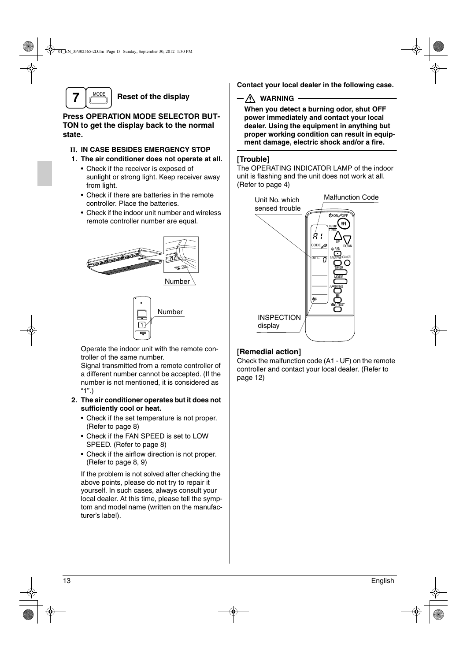

**Reset of the display**

## **Press OPERATION MODE SELECTOR BUT-TON to get the display back to the normal state.**

## **II. IN CASE BESIDES EMERGENCY STOP**

- **1. The air conditioner does not operate at all.**
	- Check if the receiver is exposed of sunlight or strong light. Keep receiver away from light.
	- Check if there are batteries in the remote controller. Place the batteries.
	- Check if the indoor unit number and wireless remote controller number are equal.





Operate the indoor unit with the remote controller of the same number.

Signal transmitted from a remote controller of a different number cannot be accepted. (If the number is not mentioned, it is considered as "1".)

## **2. The air conditioner operates but it does not sufficiently cool or heat.**

- Check if the set temperature is not proper. (Refer to page 8)
- Check if the FAN SPEED is set to LOW SPEED. (Refer to page 8)
- Check if the airflow direction is not proper. (Refer to page 8, 9)

If the problem is not solved after checking the above points, please do not try to repair it yourself. In such cases, always consult your local dealer. At this time, please tell the symptom and model name (written on the manufacturer's label).

**Contact your local dealer in the following case.**

**WARNING**

**When you detect a burning odor, shut OFF power immediately and contact your local dealer. Using the equipment in anything but proper working condition can result in equipment damage, electric shock and/or a fire.**

## **[Trouble]**

The OPERATING INDICATOR LAMP of the indoor unit is flashing and the unit does not work at all. (Refer to page 4)



## **[Remedial action]**

Check the malfunction code (A1 - UF) on the remote controller and contact your local dealer. (Refer to page 12)